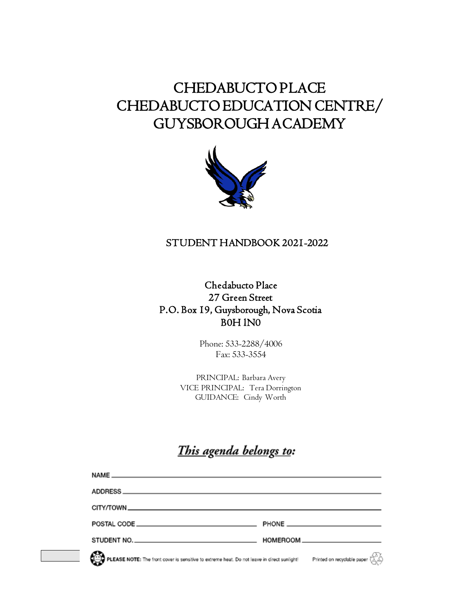# CHEDABUCTO PLACE CHEDABUCTO EDUCATION CENTRE/ GUYSBOROUGH ACADEMY



### STUDENT HANDBOOK 2021-2022

### Chedabucto Place 27 Green Street P.O. Box 19, Guysborough, Nova Scotia B0H lN0

Phone: 533-2288/4006 Fax: 533-3554

PRINCIPAL: Barbara Avery VICE PRINCIPAL: Tera Dorrington GUIDANCE: Cindy Worth

## This agenda belongs to:

| STUDENT NO.                                                                                 |                                                                                                          |
|---------------------------------------------------------------------------------------------|----------------------------------------------------------------------------------------------------------|
| PLEASE NOTE: The front cover is sensitive to extreme heat. Do not leave in direct sunlight! | Printed on recyclable paper $\langle \overrightarrow{\mathcal{L}}, \overrightarrow{\mathcal{L}} \rangle$ |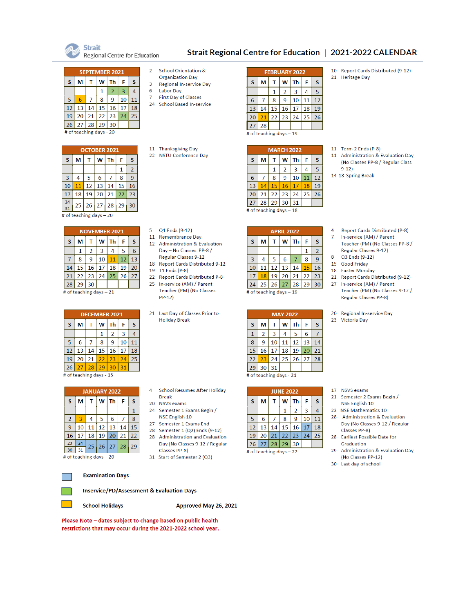

Regional Centre for Education

#### Strait Regional Centre for Education | 2021-2022 CALENDAR

**SEPTEMBER 2021**  $S$  M T W Th F  $\mathbf{s}$  $2 \mid 3$  $\overline{4}$  $\mathbf{1}$  $5 \t6 \t7 \t8 \t9 \t10 \t11$  $12$  13 14 15 16 17 18 19 20 21 22 23 24 25 26 27 28 29 30 # of teaching days - 20

| <b>OCTOBER 2021</b> |                         |                        |    |    |    |                |  |  |  |  |
|---------------------|-------------------------|------------------------|----|----|----|----------------|--|--|--|--|
| s                   | M                       | s<br>W<br>Th<br>F<br>т |    |    |    |                |  |  |  |  |
|                     |                         |                        |    |    | 1  | $\overline{2}$ |  |  |  |  |
| $\overline{3}$      | 4                       | 5                      | 6  |    | 8  | 9              |  |  |  |  |
| 10                  | 11                      | 12                     | 13 | 14 | 15 | 16             |  |  |  |  |
| 17                  | 18                      | 19                     | 20 | 21 | 22 | 23             |  |  |  |  |
| 24                  | 25                      | 26                     | 27 | 28 | 29 | 30             |  |  |  |  |
| 31                  | # of teaching days - 20 |                        |    |    |    |                |  |  |  |  |

| <b>NOVEMBER 2021</b> |                         |                   |    |    |    |    |  |  |  |
|----------------------|-------------------------|-------------------|----|----|----|----|--|--|--|
| S                    | м                       | Th<br>S<br>W<br>F |    |    |    |    |  |  |  |
|                      | 1                       | $\overline{2}$    | 3  | 4  | 5  | 6  |  |  |  |
|                      | 8                       | 9                 | 10 | 11 | 12 | 13 |  |  |  |
| 14                   | 15                      | 16                | 17 | 18 | 19 | 20 |  |  |  |
| 21                   |                         | 22 23             | 24 | 25 | 26 | 27 |  |  |  |
|                      | 28   29   30            |                   |    |    |    |    |  |  |  |
|                      | # of teaching days - 21 |                   |    |    |    |    |  |  |  |

| <b>DECEMBER 2021</b>    |    |                   |    |    |    |    |  |  |  |  |
|-------------------------|----|-------------------|----|----|----|----|--|--|--|--|
| S                       | м  | Th<br>W<br>S<br>F |    |    |    |    |  |  |  |  |
|                         |    |                   | 1  | 2  | 3  | 4  |  |  |  |  |
| 5                       | 6  |                   | 8  | q  | 10 | 11 |  |  |  |  |
| 12                      | 13 | 14                | 15 | 16 | 17 | 18 |  |  |  |  |
| 19                      | 20 | 21                | 22 | 23 | 24 | 25 |  |  |  |  |
| 26                      | 27 | 28                | 29 | 30 | 31 |    |  |  |  |  |
| # of teaching days - 15 |    |                   |    |    |    |    |  |  |  |  |

| <b>JANUARY 2022</b> |    |                 |       |    |    |    |  |  |
|---------------------|----|-----------------|-------|----|----|----|--|--|
| S                   | м  | т               | Th    | F  | S  |    |  |  |
|                     |    |                 |       |    |    | 1  |  |  |
| $\overline{2}$      | 3  | 4               | 5     | 6  |    | 8  |  |  |
| 9                   | 10 | 11              | 12    | 13 | 14 | 15 |  |  |
| 16                  | 17 | 18              | 19    | 20 | 21 | 22 |  |  |
| 23                  | 24 | 25 <sub>2</sub> | 26 27 |    | 28 | 29 |  |  |
| 30                  | 31 |                 |       |    |    |    |  |  |

# of teaching days – 20

#### **Examination Days**

**Inservice/PD/Assessment & Evaluation Days** 

**School Holidays** 

Approved May 26, 2021

Please Note - dates subject to change based on public health restrictions that may occur during the 2021-2022 school year.

- **School Orientation &**
- **Organization Day**  $\overline{\mathbf{3}}$ Regional In-service Day
- 6 **Labor Dav**
- **First Day of Classes**  $\overline{7}$

11 Thanksgiving Day

5 Q1 Ends (9-12)

19 T1 Ends (P-8)

 $PP-12$ 

 $\overline{4}$ 

**Break** 

20 NSVS exams

11 Remembrance Day

12 Administration & Evaluation

Day - No Classes PP-8 / Regular Classes 9-12

18 Report Cards Distributed 9-12

22 Report Cards Distributed P-8

Teacher (PM) (No Classes

21 Last Day of Classes Prior to

**School Resumes After Holiday** 

24 Semester 1 Exams Begin /

28 Semester 1 (Q2) Ends (9-12)

28 Administration and Evaluation

Day (No Classes 9-12 / Regular

NSE English 10

Classes PP-8)

27 Semester 1 Exams End

31 Start of Semester 2 (Q3)

**Holiday Break** 

25 In-service (AM) / Parent

22 NSTU Conference Day

 $\overline{2}$ 

24 School Based In-service

| <b>FEBRUARY 2022</b> |                 |                   |                          |    |    |    |  |  |  |  |
|----------------------|-----------------|-------------------|--------------------------|----|----|----|--|--|--|--|
| S                    | М               | W<br>Th<br>F<br>S |                          |    |    |    |  |  |  |  |
|                      |                 | 1                 | 2                        | з  |    | 5  |  |  |  |  |
| 6                    |                 | 8                 | 9                        | 10 | 11 | 12 |  |  |  |  |
| 13 <sup>°</sup>      | 14              | 15 <sup>1</sup>   | 16 17                    |    | 18 | 19 |  |  |  |  |
| 20                   | 21 <sup>1</sup> |                   | $22$   23   24           |    | 25 | 26 |  |  |  |  |
| 28<br>27             |                 |                   |                          |    |    |    |  |  |  |  |
|                      |                 |                   | # of teaching days $-19$ |    |    |    |  |  |  |  |

| <b>MARCH 2022</b> |                          |                     |               |    |    |    |  |
|-------------------|--------------------------|---------------------|---------------|----|----|----|--|
| S                 | M                        | <b>Th</b><br>W<br>F |               |    |    |    |  |
|                   |                          | 1                   | $\mathcal{P}$ | 3  | 4  | 5  |  |
| 6                 |                          | 8                   | 9             | 10 | 11 | 12 |  |
| 13                | 14                       | 15                  | 16            | 17 | 18 | 19 |  |
| 20                | 21                       |                     | 22 23         | 24 | 25 | 26 |  |
| 27                | 28                       | 29                  | 30            | 31 |    |    |  |
|                   | # of teaching days $-18$ |                     |               |    |    |    |  |

|    | <b>APRIL 2022</b>        |                 |                |    |    |                 |  |  |  |
|----|--------------------------|-----------------|----------------|----|----|-----------------|--|--|--|
| S  | м                        | т               | W              | Τh | F  | S               |  |  |  |
|    |                          |                 |                |    |    | 2               |  |  |  |
| 3  |                          | 5               | 6              |    | 8  | 9               |  |  |  |
| 10 | 11                       | 12 <sup>1</sup> | 13             | 14 | 15 | 16              |  |  |  |
| 17 | 18                       | 19              | 20             | 21 | 22 | 23              |  |  |  |
| 24 |                          |                 | 25 26 27 28 29 |    |    | 30 <sup>°</sup> |  |  |  |
|    | # of teaching days $-19$ |                 |                |    |    |                 |  |  |  |

| <b>MAY 2022</b>         |    |    |    |    |    |    |  |  |
|-------------------------|----|----|----|----|----|----|--|--|
| $\overline{\mathsf{s}}$ | м  | т  | w  | Τh | F  | S  |  |  |
| $\mathbf{1}$            | 2  | 3  | 4  | 5  | 6  |    |  |  |
| 8                       | 9  | 10 | 11 | 12 | 13 | 14 |  |  |
| 15                      | 16 | 17 | 18 | 19 | 20 | 21 |  |  |
| 22                      | 23 | 24 | 25 | 26 | 27 | 28 |  |  |
| 30<br>31<br>29          |    |    |    |    |    |    |  |  |
| # of teaching days - 21 |    |    |    |    |    |    |  |  |

| <b>JUNE 2022</b> |                          |   |   |                 |             |  |  |  |
|------------------|--------------------------|---|---|-----------------|-------------|--|--|--|
| м                | S<br>F<br><b>Th</b><br>W |   |   |                 |             |  |  |  |
|                  | 2                        | 3 | 4 |                 |             |  |  |  |
| 6                |                          | 8 | 9 | 10              | 11          |  |  |  |
| 13               | 14                       |   |   | 17              | 18          |  |  |  |
| 20               | 21                       |   |   | 24              | 25          |  |  |  |
|                  |                          |   |   |                 |             |  |  |  |
|                  |                          |   |   | 15 16<br> 22 23 | 27 28 29 30 |  |  |  |

# of teaching days - 22

10 Report Cards Distributed (9-12) 21 Heritage Day

| 1 Term 2 Ends (P-8) |  |  |
|---------------------|--|--|
|                     |  |  |

 $\mathbf{1}$ 

- 11 Administration & Evaluation Day (No Classes PP-8 / Regular Class  $9 - 12$
- 14-18 Spring Break

| $\overline{A}$ | <b>Report Cards Distributed (P-8)</b> |  |
|----------------|---------------------------------------|--|
|                |                                       |  |

- $\overline{7}$ In-service (AM) / Parent
- Teacher (PM) (No Classes PP-8 / Regular Classes 9-12)
- 8 Q3 Ends (9-12)
- 15 Good Friday 18 Easter Monday
- 
- 21 Report Cards Distributed (9-12)
- 27 In-service (AM) / Parent Teacher (PM) (No Classes 9-12 / Regular Classes PP-8)
- 20 Regional In-service Day
- 23 Victoria Day

- 17 NSVS exams
- 21 Semester 2 Exams Begin / NSE English 10
- 22 NSE Mathematics 10
- **Administration & Evaluation** 28 Day (No Classes 9-12 / Regular Classes PP-8)
- 28 Earliest Possible Date for Graduation
- 29 Administration & Evaluation Day (No Classes PP-12)
- 30 Last day of school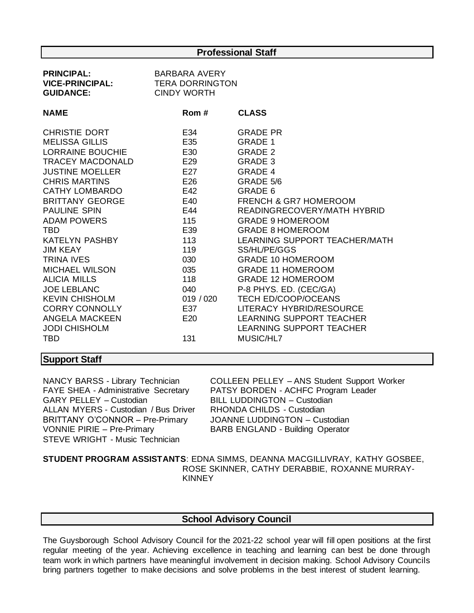#### **Professional Staff**

| <b>PRINCIPAL:</b><br><b>VICE-PRINCIPAL:</b><br><b>GUIDANCE:</b>                                                                                                                                                                                                                                                                                                                                                                                               | <b>BARBARA AVERY</b><br><b>TERA DORRINGTON</b><br><b>CINDY WORTH</b>                                                                           |                                                                                                                                                                                                                                                                                                                                                                                                                                                                                                                                  |
|---------------------------------------------------------------------------------------------------------------------------------------------------------------------------------------------------------------------------------------------------------------------------------------------------------------------------------------------------------------------------------------------------------------------------------------------------------------|------------------------------------------------------------------------------------------------------------------------------------------------|----------------------------------------------------------------------------------------------------------------------------------------------------------------------------------------------------------------------------------------------------------------------------------------------------------------------------------------------------------------------------------------------------------------------------------------------------------------------------------------------------------------------------------|
| <b>NAME</b>                                                                                                                                                                                                                                                                                                                                                                                                                                                   | Rom #                                                                                                                                          | <b>CLASS</b>                                                                                                                                                                                                                                                                                                                                                                                                                                                                                                                     |
| CHRISTIE DORT<br><b>MELISSA GILLIS</b><br>LORRAINE BOUCHIE<br>TRACEY MACDONALD<br><b>JUSTINE MOELLER</b><br><b>CHRIS MARTINS</b><br>CATHY LOMBARDO<br><b>BRITTANY GEORGE</b><br><b>PAULINE SPIN</b><br>ADAM POWERS<br>TBD.<br><b>KATELYN PASHBY</b><br><b>JIM KEAY</b><br><b>TRINA IVES</b><br>MICHAEL WILSON<br><b>ALICIA MILLS</b><br><b>JOE LEBLANC</b><br><b>KEVIN CHISHOLM</b><br><b>CORRY CONNOLLY</b><br><b>ANGELA MACKEEN</b><br><b>JODI CHISHOLM</b> | E34<br>E35<br>E30<br>E29<br>E27<br>E26<br>E42<br>E40<br>E44<br>115<br>E39<br>113<br>119<br>030<br>035<br>118<br>040<br>019 / 020<br>E37<br>E20 | <b>GRADE PR</b><br><b>GRADE 1</b><br><b>GRADE 2</b><br>GRADE 3<br><b>GRADE 4</b><br>GRADE 5/6<br>GRADE 6<br><b>FRENCH &amp; GR7 HOMEROOM</b><br>READINGRECOVERY/MATH HYBRID<br><b>GRADE 9 HOMEROOM</b><br><b>GRADE 8 HOMEROOM</b><br>LEARNING SUPPORT TEACHER/MATH<br>SS/HL/PE/GGS<br><b>GRADE 10 HOMEROOM</b><br><b>GRADE 11 HOMEROOM</b><br><b>GRADE 12 HOMEROOM</b><br>P-8 PHYS. ED. (CEC/GA)<br><b>TECH ED/COOP/OCEANS</b><br>LITERACY HYBRID/RESOURCE<br><b>LEARNING SUPPORT TEACHER</b><br><b>LEARNING SUPPORT TEACHER</b> |
| <b>TBD</b>                                                                                                                                                                                                                                                                                                                                                                                                                                                    | 131                                                                                                                                            | MUSIC/HL7                                                                                                                                                                                                                                                                                                                                                                                                                                                                                                                        |

### **Support Staff**

GARY PELLEY – Custodian BILL LUDDINGTON – Custodian ALLAN MYERS - Custodian / Bus Driver RHONDA CHILDS - Custodian BRITTANY O'CONNOR – Pre-Primary JOANNE LUDDINGTON – Custodian VONNIE PIRIE – Pre-Primary BARB ENGLAND - Building Operator STEVE WRIGHT - Music Technician

NANCY BARSS - Library Technician COLLEEN PELLEY – ANS Student Support Worker FAYE SHEA - Administrative Secretary PATSY BORDEN - ACHFC Program Leader

**STUDENT PROGRAM ASSISTANTS**: EDNA SIMMS, DEANNA MACGILLIVRAY, KATHY GOSBEE, ROSE SKINNER, CATHY DERABBIE, ROXANNE MURRAY-KINNEY

#### **School Advisory Council**

The Guysborough School Advisory Council for the 2021-22 school year will fill open positions at the first regular meeting of the year. Achieving excellence in teaching and learning can best be done through team work in which partners have meaningful involvement in decision making. School Advisory Councils bring partners together to make decisions and solve problems in the best interest of student learning.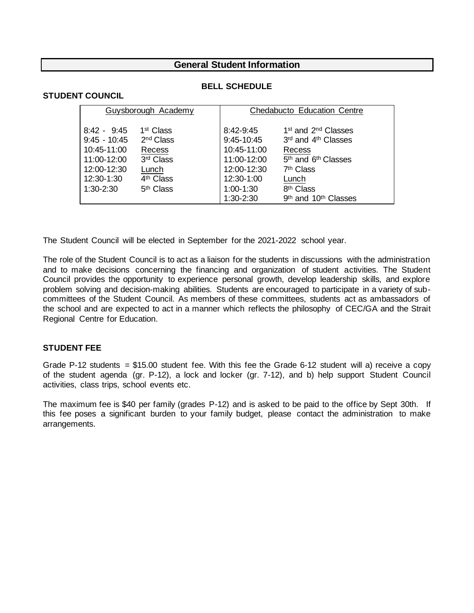#### **General Student Information**

#### **STUDENT COUNCIL**

#### **BELL SCHEDULE**

| Guysborough Academy                                                                                         |                                                                                                                                  | Chedabucto Education Centre                                                                       |                                                                                                                                                                                        |
|-------------------------------------------------------------------------------------------------------------|----------------------------------------------------------------------------------------------------------------------------------|---------------------------------------------------------------------------------------------------|----------------------------------------------------------------------------------------------------------------------------------------------------------------------------------------|
| $8:42 - 9:45$<br>$9:45 - 10:45$<br>10:45-11:00<br>11:00-12:00<br>12:00-12:30<br>12:30-1:30<br>$1:30 - 2:30$ | 1 <sup>st</sup> Class<br>2 <sup>nd</sup> Class<br>Recess<br>3rd Class<br>Lunch<br>4 <sup>th</sup> Class<br>5 <sup>th</sup> Class | 8:42-9:45<br>9:45-10:45<br>10:45-11:00<br>11:00-12:00<br>12:00-12:30<br>12:30-1:00<br>$1:00-1:30$ | 1 <sup>st</sup> and 2 <sup>nd</sup> Classes<br>3rd and 4th Classes<br>Recess<br>5 <sup>th</sup> and 6 <sup>th</sup> Classes<br>7 <sup>th</sup> Class<br>Lunch<br>8 <sup>th</sup> Class |
|                                                                                                             |                                                                                                                                  | 1:30-2:30                                                                                         | 9 <sup>th</sup> and 10 <sup>th</sup> Classes                                                                                                                                           |

The Student Council will be elected in September for the 2021-2022 school year.

The role of the Student Council is to act as a liaison for the students in discussions with the administration and to make decisions concerning the financing and organization of student activities. The Student Council provides the opportunity to experience personal growth, develop leadership skills, and explore problem solving and decision-making abilities. Students are encouraged to participate in a variety of subcommittees of the Student Council. As members of these committees, students act as ambassadors of the school and are expected to act in a manner which reflects the philosophy of CEC/GA and the Strait Regional Centre for Education.

#### **STUDENT FEE**

Grade P-12 students = \$15.00 student fee. With this fee the Grade 6-12 student will a) receive a copy of the student agenda (gr. P-12), a lock and locker (gr. 7-12), and b) help support Student Council activities, class trips, school events etc.

The maximum fee is \$40 per family (grades P-12) and is asked to be paid to the office by Sept 30th. If this fee poses a significant burden to your family budget, please contact the administration to make arrangements.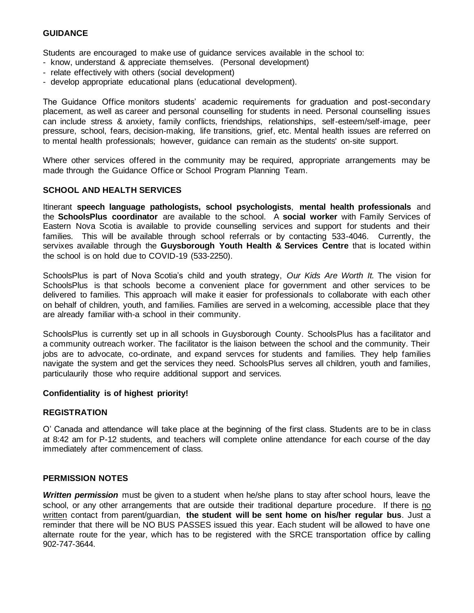#### **GUIDANCE**

Students are encouraged to make use of guidance services available in the school to:

- know, understand & appreciate themselves. (Personal development)
- relate effectively with others (social development)
- develop appropriate educational plans (educational development).

The Guidance Office monitors students' academic requirements for graduation and post-secondary placement, as well as career and personal counselling for students in need. Personal counselling issues can include stress & anxiety, family conflicts, friendships, relationships, self-esteem/self-image, peer pressure, school, fears, decision-making, life transitions, grief, etc. Mental health issues are referred on to mental health professionals; however, guidance can remain as the students' on-site support.

Where other services offered in the community may be required, appropriate arrangements may be made through the Guidance Office or School Program Planning Team.

#### **SCHOOL AND HEALTH SERVICES**

Itinerant **speech language pathologists, school psychologists**, **mental health professionals** and the **SchoolsPlus coordinator** are available to the school. A **social worker** with Family Services of Eastern Nova Scotia is available to provide counselling services and support for students and their families. This will be available through school referrals or by contacting 533-4046. Currently, the servixes available through the **Guysborough Youth Health & Services Centre** that is located within the school is on hold due to COVID-19 (533-2250).

SchoolsPlus is part of Nova Scotia's child and youth strategy, *Our Kids Are Worth It.* The vision for SchoolsPlus is that schools become a convenient place for government and other services to be delivered to families. This approach will make it easier for professionals to collaborate with each other on behalf of children, youth, and families. Families are served in a welcoming, accessible place that they are already familiar with-a school in their community.

SchoolsPlus is currently set up in all schools in Guysborough County. SchoolsPlus has a facilitator and a community outreach worker. The facilitator is the liaison between the school and the community. Their jobs are to advocate, co-ordinate, and expand servces for students and families. They help families navigate the system and get the services they need. SchoolsPlus serves all children, youth and families, particulaurily those who require additional support and services.

#### **Confidentiality is of highest priority!**

#### **REGISTRATION**

O' Canada and attendance will take place at the beginning of the first class. Students are to be in class at 8:42 am for P-12 students, and teachers will complete online attendance for each course of the day immediately after commencement of class.

#### **PERMISSION NOTES**

*Written permission* must be given to a student when he/she plans to stay after school hours, leave the school, or any other arrangements that are outside their traditional departure procedure. If there is no written contact from parent/guardian, **the student will be sent home on his/her regular bus**. Just a reminder that there will be NO BUS PASSES issued this year. Each student will be allowed to have one alternate route for the year, which has to be registered with the SRCE transportation office by calling 902-747-3644.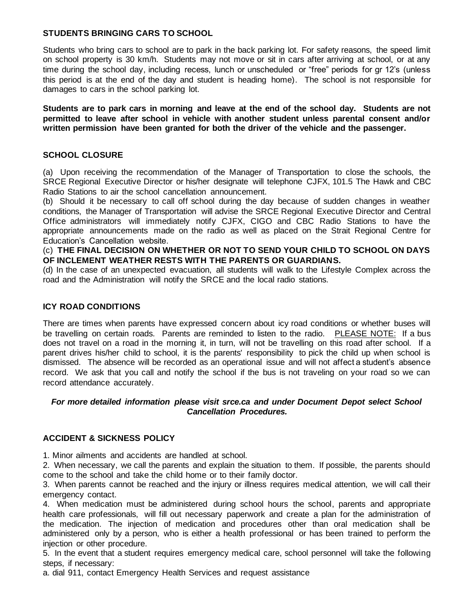#### **STUDENTS BRINGING CARS TO SCHOOL**

Students who bring cars to school are to park in the back parking lot. For safety reasons, the speed limit on school property is 30 km/h. Students may not move or sit in cars after arriving at school, or at any time during the school day, including recess, lunch or unscheduled or "free" periods for gr 12's (unless this period is at the end of the day and student is heading home). The school is not responsible for damages to cars in the school parking lot.

**Students are to park cars in morning and leave at the end of the school day. Students are not permitted to leave after school in vehicle with another student unless parental consent and/or written permission have been granted for both the driver of the vehicle and the passenger.**

#### **SCHOOL CLOSURE**

(a) Upon receiving the recommendation of the Manager of Transportation to close the schools, the SRCE Regional Executive Director or his/her designate will telephone CJFX, 101.5 The Hawk and CBC Radio Stations to air the school cancellation announcement.

(b) Should it be necessary to call off school during the day because of sudden changes in weather conditions, the Manager of Transportation will advise the SRCE Regional Executive Director and Central Office administrators will immediately notify CJFX, CIGO and CBC Radio Stations to have the appropriate announcements made on the radio as well as placed on the Strait Regional Centre for Education's Cancellation website.

(c) **THE FINAL DECISION ON WHETHER OR NOT TO SEND YOUR CHILD TO SCHOOL ON DAYS OF INCLEMENT WEATHER RESTS WITH THE PARENTS OR GUARDIANS.**

(d) In the case of an unexpected evacuation, all students will walk to the Lifestyle Complex across the road and the Administration will notify the SRCE and the local radio stations.

#### **ICY ROAD CONDITIONS**

There are times when parents have expressed concern about icy road conditions or whether buses will be travelling on certain roads. Parents are reminded to listen to the radio. PLEASE NOTE: If a bus does not travel on a road in the morning it, in turn, will not be travelling on this road after school. If a parent drives his/her child to school, it is the parents' responsibility to pick the child up when school is dismissed. The absence will be recorded as an operational issue and will not affect a student's absence record. We ask that you call and notify the school if the bus is not traveling on your road so we can record attendance accurately.

#### *For more detailed information please visit srce.ca and under Document Depot select School Cancellation Procedures.*

#### **ACCIDENT & SICKNESS POLICY**

1. Minor ailments and accidents are handled at school.

2. When necessary, we call the parents and explain the situation to them. If possible, the parents should come to the school and take the child home or to their family doctor.

3. When parents cannot be reached and the injury or illness requires medical attention, we will call their emergency contact.

4. When medication must be administered during school hours the school, parents and appropriate health care professionals, will fill out necessary paperwork and create a plan for the administration of the medication. The injection of medication and procedures other than oral medication shall be administered only by a person, who is either a health professional or has been trained to perform the injection or other procedure.

5. In the event that a student requires emergency medical care, school personnel will take the following steps, if necessary:

a. dial 911, contact Emergency Health Services and request assistance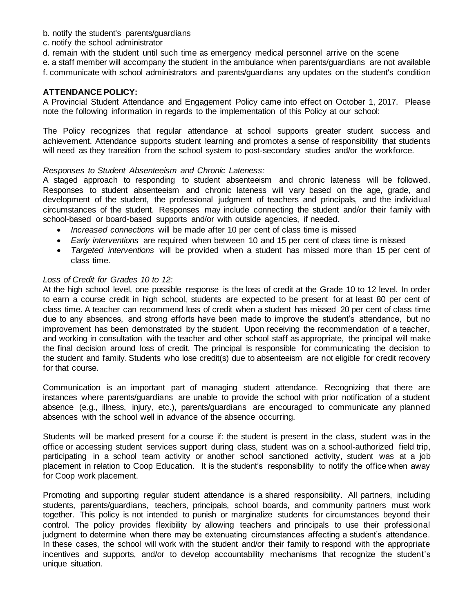- b. notify the student's parents/guardians
- c. notify the school administrator
- d. remain with the student until such time as emergency medical personnel arrive on the scene

e. a staff member will accompany the student in the ambulance when parents/guardians are not available f. communicate with school administrators and parents/guardians any updates on the student's condition

#### **ATTENDANCE POLICY:**

A Provincial Student Attendance and Engagement Policy came into effect on October 1, 2017. Please note the following information in regards to the implementation of this Policy at our school:

The Policy recognizes that regular attendance at school supports greater student success and achievement. Attendance supports student learning and promotes a sense of responsibility that students will need as they transition from the school system to post-secondary studies and/or the workforce.

#### *Responses to Student Absenteeism and Chronic Lateness:*

A staged approach to responding to student absenteeism and chronic lateness will be followed. Responses to student absenteeism and chronic lateness will vary based on the age, grade, and development of the student, the professional judgment of teachers and principals, and the individual circumstances of the student. Responses may include connecting the student and/or their family with school-based or board-based supports and/or with outside agencies, if needed.

- *Increased connections* will be made after 10 per cent of class time is missed
- *Early interventions* are required when between 10 and 15 per cent of class time is missed
- *Targeted interventions* will be provided when a student has missed more than 15 per cent of class time.

#### *Loss of Credit for Grades 10 to 12:*

At the high school level, one possible response is the loss of credit at the Grade 10 to 12 level. In order to earn a course credit in high school, students are expected to be present for at least 80 per cent of class time. A teacher can recommend loss of credit when a student has missed 20 per cent of class time due to any absences, and strong efforts have been made to improve the student's attendance, but no improvement has been demonstrated by the student. Upon receiving the recommendation of a teacher, and working in consultation with the teacher and other school staff as appropriate, the principal will make the final decision around loss of credit. The principal is responsible for communicating the decision to the student and family. Students who lose credit(s) due to absenteeism are not eligible for credit recovery for that course.

Communication is an important part of managing student attendance. Recognizing that there are instances where parents/guardians are unable to provide the school with prior notification of a student absence (e.g., illness, injury, etc.), parents/guardians are encouraged to communicate any planned absences with the school well in advance of the absence occurring.

Students will be marked present for a course if: the student is present in the class, student was in the office or accessing student services support during class, student was on a school-authorized field trip, participating in a school team activity or another school sanctioned activity, student was at a job placement in relation to Coop Education. It is the student's responsibility to notify the office when away for Coop work placement.

Promoting and supporting regular student attendance is a shared responsibility. All partners, including students, parents/guardians, teachers, principals, school boards, and community partners must work together. This policy is not intended to punish or marginalize students for circumstances beyond their control. The policy provides flexibility by allowing teachers and principals to use their professional judgment to determine when there may be extenuating circumstances affecting a student's attendance. In these cases, the school will work with the student and/or their family to respond with the appropriate incentives and supports, and/or to develop accountability mechanisms that recognize the student's unique situation.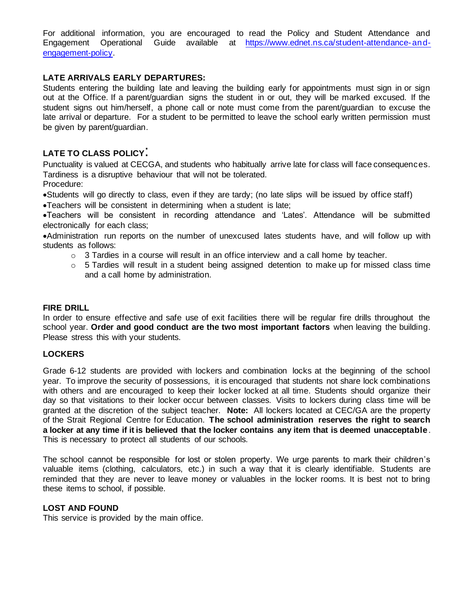For additional information, you are encouraged to read the Policy and Student Attendance and Engagement Operational Guide available at [https://www.ednet.ns.ca/student-attendance-and](https://www.ednet.ns.ca/student-attendance-and-engagement-policy)[engagement-policy.](https://www.ednet.ns.ca/student-attendance-and-engagement-policy)

#### **LATE ARRIVALS EARLY DEPARTURES:**

Students entering the building late and leaving the building early for appointments must sign in or sign out at the Office. If a parent/guardian signs the student in or out, they will be marked excused. If the student signs out him/herself, a phone call or note must come from the parent/guardian to excuse the late arrival or departure. For a student to be permitted to leave the school early written permission must be given by parent/guardian.

### **LATE TO CLASS POLICY**:

Punctuality is valued at CECGA, and students who habitually arrive late for class will face consequences. Tardiness is a disruptive behaviour that will not be tolerated. Procedure:

•Students will go directly to class, even if they are tardy; (no late slips will be issued by office staff)

•Teachers will be consistent in determining when a student is late;

•Teachers will be consistent in recording attendance and 'Lates'. Attendance will be submitted electronically for each class;

•Administration run reports on the number of unexcused lates students have, and will follow up with students as follows:

- $\circ$  3 Tardies in a course will result in an office interview and a call home by teacher.
- $\circ$  5 Tardies will result in a student being assigned detention to make up for missed class time and a call home by administration.

#### **FIRE DRILL**

In order to ensure effective and safe use of exit facilities there will be regular fire drills throughout the school year. **Order and good conduct are the two most important factors** when leaving the building. Please stress this with your students.

#### **LOCKERS**

Grade 6-12 students are provided with lockers and combination locks at the beginning of the school year. To improve the security of possessions, it is encouraged that students not share lock combinations with others and are encouraged to keep their locker locked at all time. Students should organize their day so that visitations to their locker occur between classes. Visits to lockers during class time will be granted at the discretion of the subject teacher. **Note:** All lockers located at CEC/GA are the property of the Strait Regional Centre for Education. **The school administration reserves the right to search a locker at any time if it is believed that the locker contains any item that is deemed unacceptable**. This is necessary to protect all students of our schools.

The school cannot be responsible for lost or stolen property. We urge parents to mark their children's valuable items (clothing, calculators, etc.) in such a way that it is clearly identifiable. Students are reminded that they are never to leave money or valuables in the locker rooms. It is best not to bring these items to school, if possible.

#### **LOST AND FOUND**

This service is provided by the main office.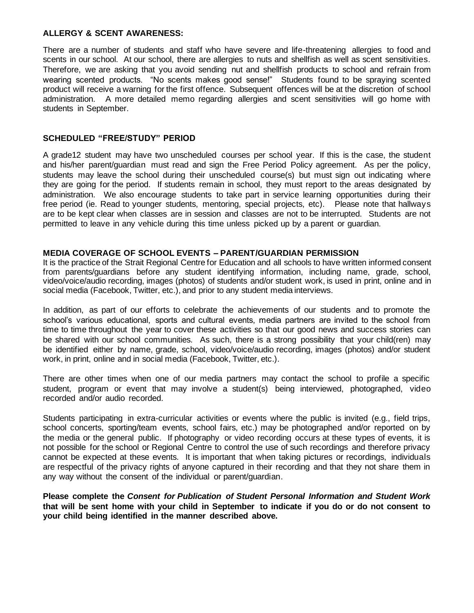#### **ALLERGY & SCENT AWARENESS:**

There are a number of students and staff who have severe and life-threatening allergies to food and scents in our school. At our school, there are allergies to nuts and shellfish as well as scent sensitivities. Therefore, we are asking that you avoid sending nut and shellfish products to school and refrain from wearing scented products. "No scents makes good sense!" Students found to be spraying scented product will receive a warning for the first offence. Subsequent offences will be at the discretion of school administration. A more detailed memo regarding allergies and scent sensitivities will go home with students in September.

#### **SCHEDULED "FREE/STUDY" PERIOD**

A grade12 student may have two unscheduled courses per school year. If this is the case, the student and his/her parent/guardian must read and sign the Free Period Policy agreement. As per the policy, students may leave the school during their unscheduled course(s) but must sign out indicating where they are going for the period. If students remain in school, they must report to the areas designated by administration. We also encourage students to take part in service learning opportunities during their free period (ie. Read to younger students, mentoring, special projects, etc). Please note that hallways are to be kept clear when classes are in session and classes are not to be interrupted. Students are not permitted to leave in any vehicle during this time unless picked up by a parent or guardian.

#### **MEDIA COVERAGE OF SCHOOL EVENTS – PARENT/GUARDIAN PERMISSION**

It is the practice of the Strait Regional Centre for Education and all schools to have written informed consent from parents/guardians before any student identifying information, including name, grade, school, video/voice/audio recording, images (photos) of students and/or student work, is used in print, online and in social media (Facebook, Twitter, etc.), and prior to any student media interviews.

In addition, as part of our efforts to celebrate the achievements of our students and to promote the school's various educational, sports and cultural events, media partners are invited to the school from time to time throughout the year to cover these activities so that our good news and success stories can be shared with our school communities. As such, there is a strong possibility that your child(ren) may be identified either by name, grade, school, video/voice/audio recording, images (photos) and/or student work, in print, online and in social media (Facebook, Twitter, etc.).

There are other times when one of our media partners may contact the school to profile a specific student, program or event that may involve a student(s) being interviewed, photographed, video recorded and/or audio recorded.

Students participating in extra-curricular activities or events where the public is invited (e.g., field trips, school concerts, sporting/team events, school fairs, etc.) may be photographed and/or reported on by the media or the general public. If photography or video recording occurs at these types of events, it is not possible for the school or Regional Centre to control the use of such recordings and therefore privacy cannot be expected at these events. It is important that when taking pictures or recordings, individuals are respectful of the privacy rights of anyone captured in their recording and that they not share them in any way without the consent of the individual or parent/guardian.

**Please complete the** *Consent for Publication of Student Personal Information and Student Work* **that will be sent home with your child in September to indicate if you do or do not consent to your child being identified in the manner described above.**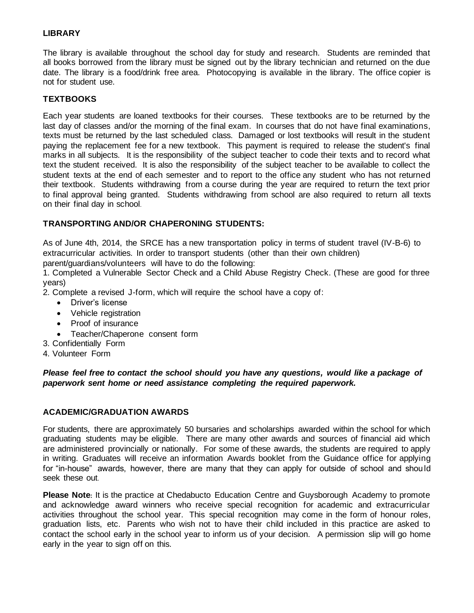#### **LIBRARY**

The library is available throughout the school day for study and research. Students are reminded that all books borrowed from the library must be signed out by the library technician and returned on the due date. The library is a food/drink free area. Photocopying is available in the library. The office copier is not for student use.

#### **TEXTBOOKS**

Each year students are loaned textbooks for their courses. These textbooks are to be returned by the last day of classes and/or the morning of the final exam. In courses that do not have final examinations, texts must be returned by the last scheduled class. Damaged or lost textbooks will result in the student paying the replacement fee for a new textbook. This payment is required to release the student's final marks in all subjects. It is the responsibility of the subject teacher to code their texts and to record what text the student received. It is also the responsibility of the subject teacher to be available to collect the student texts at the end of each semester and to report to the office any student who has not returned their textbook. Students withdrawing from a course during the year are required to return the text prior to final approval being granted. Students withdrawing from school are also required to return all texts on their final day in school.

#### **TRANSPORTING AND/OR CHAPERONING STUDENTS:**

As of June 4th, 2014, the SRCE has a new transportation policy in terms of student travel (IV-B-6) to extracurricular activities. In order to transport students (other than their own children) parent/guardians/volunteers will have to do the following:

1. Completed a Vulnerable Sector Check and a Child Abuse Registry Check. (These are good for three years)

2. Complete a revised J-form, which will require the school have a copy of:

- Driver's license
- Vehicle registration
- Proof of insurance
- Teacher/Chaperone consent form
- 3. Confidentially Form
- 4. Volunteer Form

*Please feel free to contact the school should you have any questions, would like a package of paperwork sent home or need assistance completing the required paperwork.*

#### **ACADEMIC/GRADUATION AWARDS**

For students, there are approximately 50 bursaries and scholarships awarded within the school for which graduating students may be eligible. There are many other awards and sources of financial aid which are administered provincially or nationally. For some of these awards, the students are required to apply in writing. Graduates will receive an information Awards booklet from the Guidance office for applying for "in-house" awards, however, there are many that they can apply for outside of school and should seek these out.

**Please Note:** It is the practice at Chedabucto Education Centre and Guysborough Academy to promote and acknowledge award winners who receive special recognition for academic and extracurricular activities throughout the school year. This special recognition may come in the form of honour roles, graduation lists, etc. Parents who wish not to have their child included in this practice are asked to contact the school early in the school year to inform us of your decision. A permission slip will go home early in the year to sign off on this.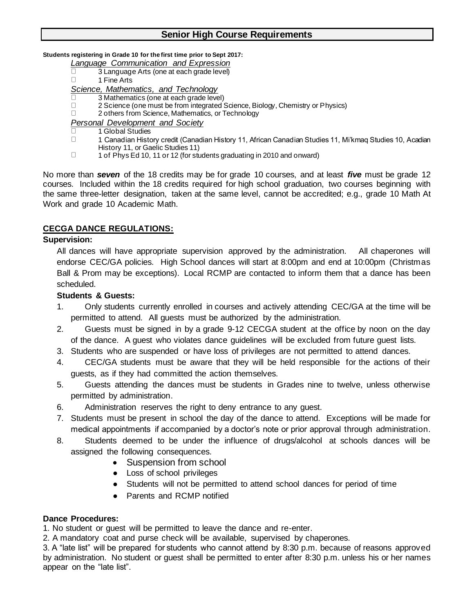#### **Students registering in Grade 10 for the first time prior to Sept 2017:**

- *Language Communication and Expression*
- $\Box$ 3 Language Arts (one at each grade level)
- $\Box$ 1 Fine Arts

*Science, Mathematics, and Technology*

- 3 Mathematics (one at each grade level)  $\Box$  $\Box$
- 2 Science (one must be from integrated Science, Biology, Chemistry or Physics)
- $\Box$ 2 others from Science, Mathematics, or Technology

*Personal Development and Society*

- $\Box$ 1 Global Studies
- $\Box$ 1 Canadian History credit (Canadian History 11, African Canadian Studies 11, Mi'kmaq Studies 10, Acadian History 11, or Gaelic Studies 11)
- $\Box$ 1 of Phys Ed 10, 11 or 12 (for students graduating in 2010 and onward)

No more than *seven* of the 18 credits may be for grade 10 courses, and at least *five* must be grade 12 courses. Included within the 18 credits required for high school graduation, two courses beginning with the same three-letter designation, taken at the same level, cannot be accredited; e.g., grade 10 Math At Work and grade 10 Academic Math.

### **CECGA DANCE REGULATIONS:**

#### **Supervision:**

All dances will have appropriate supervision approved by the administration. All chaperones will endorse CEC/GA policies. High School dances will start at 8:00pm and end at 10:00pm (Christmas Ball & Prom may be exceptions). Local RCMP are contacted to inform them that a dance has been scheduled.

#### **Students & Guests:**

- 1. Only students currently enrolled in courses and actively attending CEC/GA at the time will be permitted to attend. All guests must be authorized by the administration.
- 2. Guests must be signed in by a grade 9-12 CECGA student at the office by noon on the day of the dance. A guest who violates dance guidelines will be excluded from future guest lists.
- 3. Students who are suspended or have loss of privileges are not permitted to attend dances.
- 4. CEC/GA students must be aware that they will be held responsible for the actions of their guests, as if they had committed the action themselves.
- 5. Guests attending the dances must be students in Grades nine to twelve, unless otherwise permitted by administration.
- 6. Administration reserves the right to deny entrance to any guest.
- 7. Students must be present in school the day of the dance to attend. Exceptions will be made for medical appointments if accompanied by a doctor's note or prior approval through administration.
- 8. Students deemed to be under the influence of drugs/alcohol at schools dances will be assigned the following consequences.
	- Suspension from school
	- Loss of school privileges
	- Students will not be permitted to attend school dances for period of time
	- Parents and RCMP notified

#### **Dance Procedures:**

1. No student or guest will be permitted to leave the dance and re-enter.

2. A mandatory coat and purse check will be available, supervised by chaperones.

3. A "late list" will be prepared for students who cannot attend by 8:30 p.m. because of reasons approved by administration. No student or guest shall be permitted to enter after 8:30 p.m. unless his or her names appear on the "late list".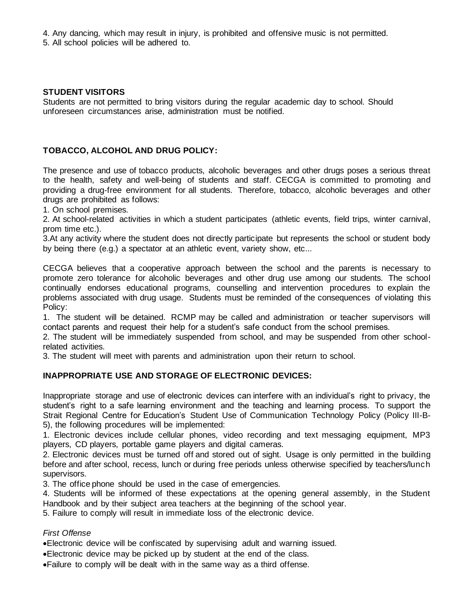4. Any dancing, which may result in injury, is prohibited and offensive music is not permitted.

5. All school policies will be adhered to.

#### **STUDENT VISITORS**

Students are not permitted to bring visitors during the regular academic day to school. Should unforeseen circumstances arise, administration must be notified.

#### **TOBACCO, ALCOHOL AND DRUG POLICY:**

The presence and use of tobacco products, alcoholic beverages and other drugs poses a serious threat to the health, safety and well-being of students and staff. CECGA is committed to promoting and providing a drug-free environment for all students. Therefore, tobacco, alcoholic beverages and other drugs are prohibited as follows:

1. On school premises.

2. At school-related activities in which a student participates (athletic events, field trips, winter carnival, prom time etc.).

3.At any activity where the student does not directly participate but represents the school or student body by being there (e.g.) a spectator at an athletic event, variety show, etc...

CECGA believes that a cooperative approach between the school and the parents is necessary to promote zero tolerance for alcoholic beverages and other drug use among our students. The school continually endorses educational programs, counselling and intervention procedures to explain the problems associated with drug usage. Students must be reminded of the consequences of violating this Policy:

1. The student will be detained. RCMP may be called and administration or teacher supervisors will contact parents and request their help for a student's safe conduct from the school premises.

2. The student will be immediately suspended from school, and may be suspended from other schoolrelated activities.

3. The student will meet with parents and administration upon their return to school.

#### **INAPPROPRIATE USE AND STORAGE OF ELECTRONIC DEVICES:**

Inappropriate storage and use of electronic devices can interfere with an individual's right to privacy, the student's right to a safe learning environment and the teaching and learning process. To support the Strait Regional Centre for Education's Student Use of Communication Technology Policy (Policy III-B-5), the following procedures will be implemented:

1. Electronic devices include cellular phones, video recording and text messaging equipment, MP3 players, CD players, portable game players and digital cameras.

2. Electronic devices must be turned off and stored out of sight. Usage is only permitted in the building before and after school, recess, lunch or during free periods unless otherwise specified by teachers/lunch supervisors.

3. The office phone should be used in the case of emergencies.

4. Students will be informed of these expectations at the opening general assembly, in the Student Handbook and by their subject area teachers at the beginning of the school year.

5. Failure to comply will result in immediate loss of the electronic device.

#### *First Offense*

•Electronic device will be confiscated by supervising adult and warning issued.

- •Electronic device may be picked up by student at the end of the class.
- •Failure to comply will be dealt with in the same way as a third offense.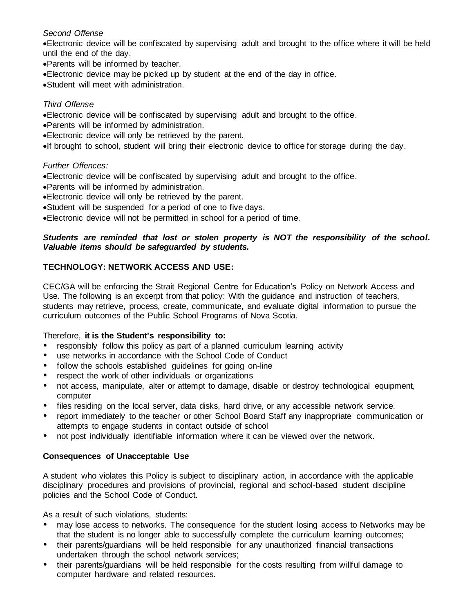#### *Second Offense*

•Electronic device will be confiscated by supervising adult and brought to the office where it will be held until the end of the day.

- •Parents will be informed by teacher.
- •Electronic device may be picked up by student at the end of the day in office.
- •Student will meet with administration.

#### *Third Offense*

•Electronic device will be confiscated by supervising adult and brought to the office.

- •Parents will be informed by administration.
- •Electronic device will only be retrieved by the parent.
- •If brought to school, student will bring their electronic device to office for storage during the day.

#### *Further Offences:*

- •Electronic device will be confiscated by supervising adult and brought to the office.
- •Parents will be informed by administration.
- •Electronic device will only be retrieved by the parent.
- •Student will be suspended for a period of one to five days.
- •Electronic device will not be permitted in school for a period of time.

#### *Students are reminded that lost or stolen property is NOT the responsibility of the school. Valuable items should be safeguarded by students.*

### **TECHNOLOGY: NETWORK ACCESS AND USE:**

CEC/GA will be enforcing the Strait Regional Centre for Education's Policy on Network Access and Use. The following is an excerpt from that policy: With the guidance and instruction of teachers, students may retrieve, process, create, communicate, and evaluate digital information to pursue the curriculum outcomes of the Public School Programs of Nova Scotia.

#### Therefore, **it is the Student's responsibility to:**

- responsibly follow this policy as part of a planned curriculum learning activity
- use networks in accordance with the School Code of Conduct
- follow the schools established guidelines for going on-line
- respect the work of other individuals or organizations
- not access, manipulate, alter or attempt to damage, disable or destroy technological equipment, computer
- files residing on the local server, data disks, hard drive, or any accessible network service.
- report immediately to the teacher or other School Board Staff any inappropriate communication or attempts to engage students in contact outside of school
- not post individually identifiable information where it can be viewed over the network.

#### **Consequences of Unacceptable Use**

A student who violates this Policy is subject to disciplinary action, in accordance with the applicable disciplinary procedures and provisions of provincial, regional and school-based student discipline policies and the School Code of Conduct.

As a result of such violations, students:

- may lose access to networks. The consequence for the student losing access to Networks may be that the student is no longer able to successfully complete the curriculum learning outcomes;
- their parents/guardians will be held responsible for any unauthorized financial transactions undertaken through the school network services;
- their parents/guardians will be held responsible for the costs resulting from willful damage to computer hardware and related resources.